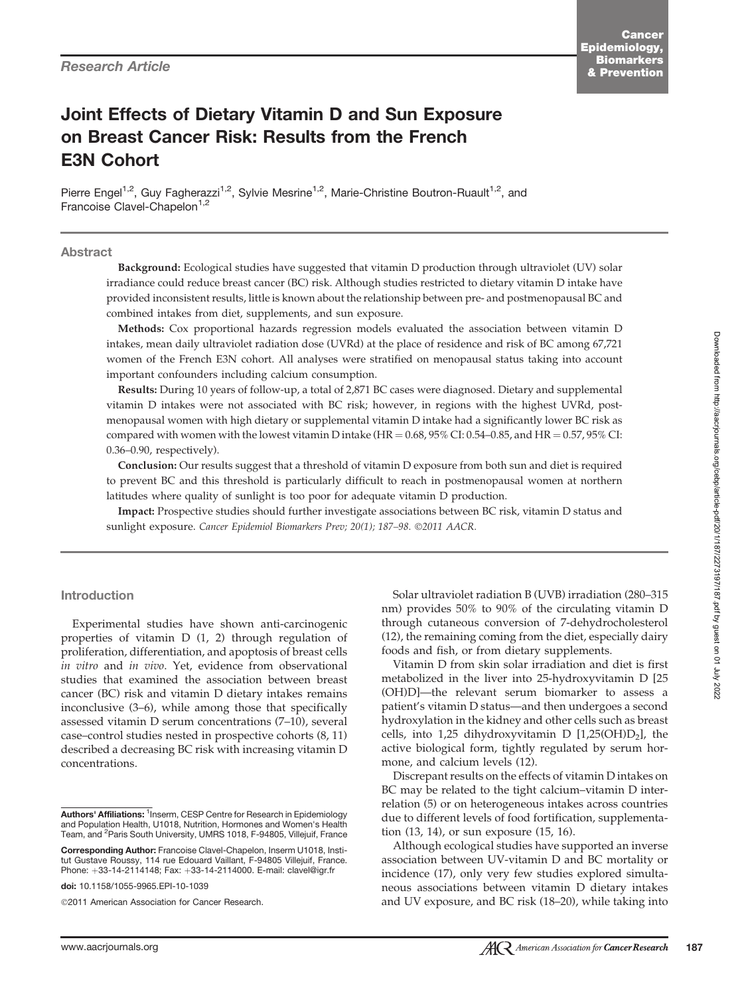# Joint Effects of Dietary Vitamin D and Sun Exposure on Breast Cancer Risk: Results from the French E3N Cohort

Pierre Engel<sup>1,2</sup>, Guy Fagherazzi<sup>1,2</sup>, Sylvie Mesrine<sup>1,2</sup>, Marie-Christine Boutron-Ruault<sup>1,2</sup>, and Francoise Clavel-Chapelon<sup>1,2</sup>

#### Abstract

Background: Ecological studies have suggested that vitamin D production through ultraviolet (UV) solar irradiance could reduce breast cancer (BC) risk. Although studies restricted to dietary vitamin D intake have provided inconsistent results, little is known about the relationship between pre- and postmenopausal BC and combined intakes from diet, supplements, and sun exposure.

Methods: Cox proportional hazards regression models evaluated the association between vitamin D intakes, mean daily ultraviolet radiation dose (UVRd) at the place of residence and risk of BC among 67,721 women of the French E3N cohort. All analyses were stratified on menopausal status taking into account important confounders including calcium consumption.

Results: During 10 years of follow-up, a total of 2,871 BC cases were diagnosed. Dietary and supplemental vitamin D intakes were not associated with BC risk; however, in regions with the highest UVRd, postmenopausal women with high dietary or supplemental vitamin D intake had a significantly lower BC risk as compared with women with the lowest vitamin D intake (HR =  $0.68$ ,  $95\%$  CI:  $0.54$ - $0.85$ , and HR =  $0.57$ ,  $95\%$  CI: 0.36–0.90, respectively).

Conclusion: Our results suggest that a threshold of vitamin D exposure from both sun and diet is required to prevent BC and this threshold is particularly difficult to reach in postmenopausal women at northern latitudes where quality of sunlight is too poor for adequate vitamin D production.

Impact: Prospective studies should further investigate associations between BC risk, vitamin D status and sunlight exposure. Cancer Epidemiol Biomarkers Prev; 20(1); 187-98. ©2011 AACR.

#### Introduction

Experimental studies have shown anti-carcinogenic properties of vitamin D (1, 2) through regulation of proliferation, differentiation, and apoptosis of breast cells in vitro and in vivo. Yet, evidence from observational studies that examined the association between breast cancer (BC) risk and vitamin D dietary intakes remains inconclusive (3–6), while among those that specifically assessed vitamin D serum concentrations (7–10), several case–control studies nested in prospective cohorts (8, 11) described a decreasing BC risk with increasing vitamin D concentrations.

doi: 10.1158/1055-9965.EPI-10-1039

2011 American Association for Cancer Research.

Solar ultraviolet radiation B (UVB) irradiation (280–315 nm) provides 50% to 90% of the circulating vitamin D through cutaneous conversion of 7-dehydrocholesterol (12), the remaining coming from the diet, especially dairy foods and fish, or from dietary supplements.

Vitamin D from skin solar irradiation and diet is first metabolized in the liver into 25-hydroxyvitamin D [25 (OH)D]—the relevant serum biomarker to assess a patient's vitamin D status—and then undergoes a second hydroxylation in the kidney and other cells such as breast cells, into 1,25 dihydroxyvitamin D  $[1,25(OH)D<sub>2</sub>]$ , the active biological form, tightly regulated by serum hormone, and calcium levels (12).

Discrepant results on the effects of vitamin D intakes on BC may be related to the tight calcium–vitamin D interrelation (5) or on heterogeneous intakes across countries due to different levels of food fortification, supplementation (13, 14), or sun exposure (15, 16).

Although ecological studies have supported an inverse association between UV-vitamin D and BC mortality or incidence (17), only very few studies explored simultaneous associations between vitamin D dietary intakes and UV exposure, and BC risk (18–20), while taking into

Authors' Affiliations: <sup>1</sup>Inserm, CESP Centre for Research in Epidemiology and Population Health, U1018, Nutrition, Hormones and Women's Health Team, and <sup>2</sup>Paris South University, UMRS 1018, F-94805, Villejuif, France

Corresponding Author: Francoise Clavel-Chapelon, Inserm U1018, Institut Gustave Roussy, 114 rue Edouard Vaillant, F-94805 Villejuif, France. Phone: +33-14-2114148; Fax: +33-14-2114000. E-mail: clavel@igr.fr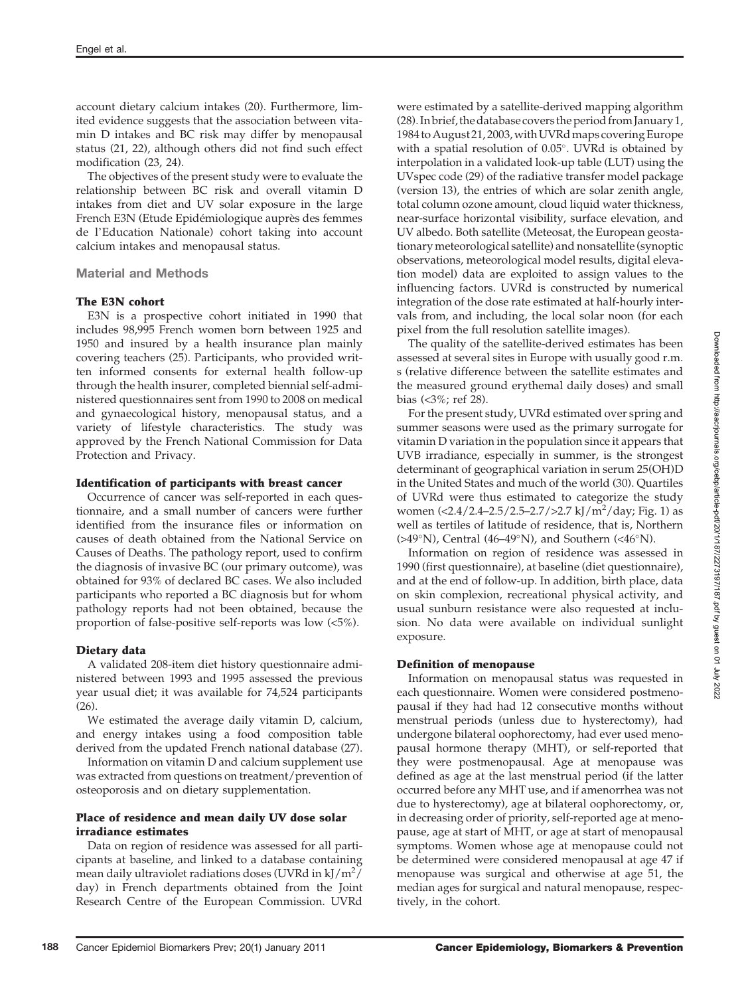account dietary calcium intakes (20). Furthermore, limited evidence suggests that the association between vitamin D intakes and BC risk may differ by menopausal status (21, 22), although others did not find such effect modification (23, 24).

The objectives of the present study were to evaluate the relationship between BC risk and overall vitamin D intakes from diet and UV solar exposure in the large French E3N (Etude Epidémiologique auprès des femmes de l'Education Nationale) cohort taking into account calcium intakes and menopausal status.

#### Material and Methods

#### The E3N cohort

E3N is a prospective cohort initiated in 1990 that includes 98,995 French women born between 1925 and 1950 and insured by a health insurance plan mainly covering teachers (25). Participants, who provided written informed consents for external health follow-up through the health insurer, completed biennial self-administered questionnaires sent from 1990 to 2008 on medical and gynaecological history, menopausal status, and a variety of lifestyle characteristics. The study was approved by the French National Commission for Data Protection and Privacy.

#### Identification of participants with breast cancer

Occurrence of cancer was self-reported in each questionnaire, and a small number of cancers were further identified from the insurance files or information on causes of death obtained from the National Service on Causes of Deaths. The pathology report, used to confirm the diagnosis of invasive BC (our primary outcome), was obtained for 93% of declared BC cases. We also included participants who reported a BC diagnosis but for whom pathology reports had not been obtained, because the proportion of false-positive self-reports was low (<5%).

#### Dietary data

A validated 208-item diet history questionnaire administered between 1993 and 1995 assessed the previous year usual diet; it was available for 74,524 participants (26).

We estimated the average daily vitamin D, calcium, and energy intakes using a food composition table derived from the updated French national database (27).

Information on vitamin D and calcium supplement use was extracted from questions on treatment/prevention of osteoporosis and on dietary supplementation.

#### Place of residence and mean daily UV dose solar irradiance estimates

Data on region of residence was assessed for all participants at baseline, and linked to a database containing mean daily ultraviolet radiations doses (UVRd in kJ/m<sup>2</sup>/ day) in French departments obtained from the Joint Research Centre of the European Commission. UVRd

were estimated by a satellite-derived mapping algorithm (28). In brief, thedatabase covers the period from January 1, 1984 to August 21, 2003, with UVRd maps covering Europe with a spatial resolution of  $0.05^{\circ}$ . UVRd is obtained by interpolation in a validated look-up table (LUT) using the UVspec code (29) of the radiative transfer model package (version 13), the entries of which are solar zenith angle, total column ozone amount, cloud liquid water thickness, near-surface horizontal visibility, surface elevation, and UV albedo. Both satellite (Meteosat, the European geostationary meteorological satellite) and nonsatellite (synoptic observations, meteorological model results, digital elevation model) data are exploited to assign values to the influencing factors. UVRd is constructed by numerical integration of the dose rate estimated at half-hourly intervals from, and including, the local solar noon (for each pixel from the full resolution satellite images).

The quality of the satellite-derived estimates has been assessed at several sites in Europe with usually good r.m. s (relative difference between the satellite estimates and the measured ground erythemal daily doses) and small bias (<3%; ref 28).

For the present study, UVRd estimated over spring and summer seasons were used as the primary surrogate for vitamin D variation in the population since it appears that UVB irradiance, especially in summer, is the strongest determinant of geographical variation in serum 25(OH)D in the United States and much of the world (30). Quartiles of UVRd were thus estimated to categorize the study women (<2.4/2.4-2.5/2.5-2.7/>2.7 kJ/m<sup>2</sup>/day; Fig. 1) as well as tertiles of latitude of residence, that is, Northern  $(>49°N)$ , Central (46–49°N), and Southern (<46°N).

Information on region of residence was assessed in 1990 (first questionnaire), at baseline (diet questionnaire), and at the end of follow-up. In addition, birth place, data on skin complexion, recreational physical activity, and usual sunburn resistance were also requested at inclusion. No data were available on individual sunlight exposure.

#### Definition of menopause

Information on menopausal status was requested in each questionnaire. Women were considered postmenopausal if they had had 12 consecutive months without menstrual periods (unless due to hysterectomy), had undergone bilateral oophorectomy, had ever used menopausal hormone therapy (MHT), or self-reported that they were postmenopausal. Age at menopause was defined as age at the last menstrual period (if the latter occurred before any MHT use, and if amenorrhea was not due to hysterectomy), age at bilateral oophorectomy, or, in decreasing order of priority, self-reported age at menopause, age at start of MHT, or age at start of menopausal symptoms. Women whose age at menopause could not be determined were considered menopausal at age 47 if menopause was surgical and otherwise at age 51, the median ages for surgical and natural menopause, respectively, in the cohort.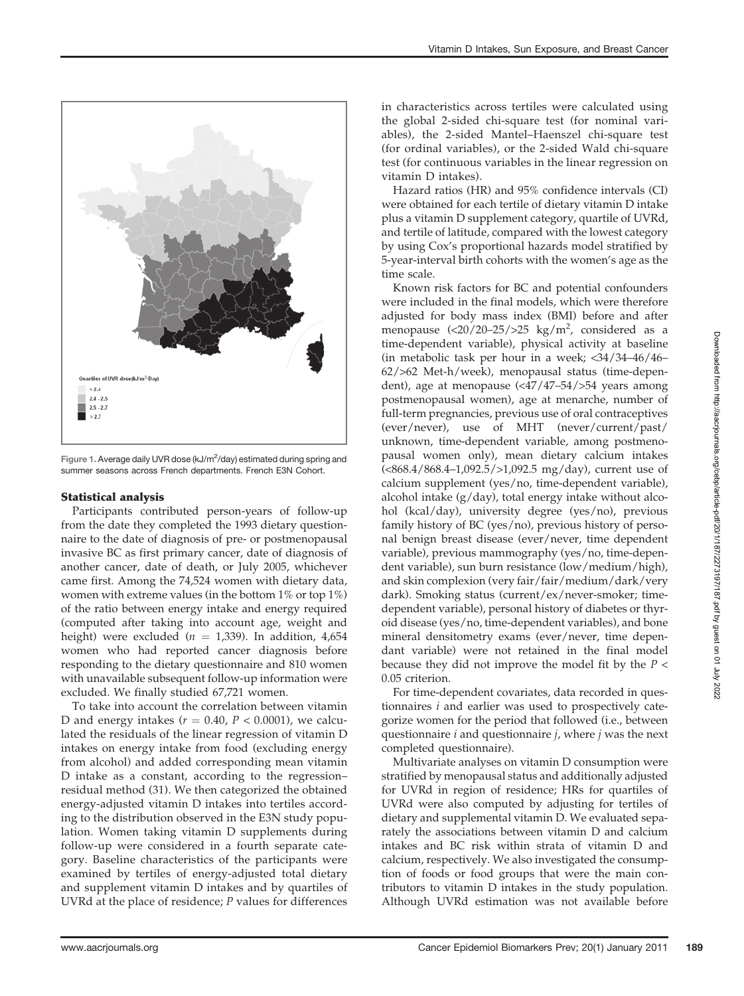

Figure 1. Average daily UVR dose (kJ/m<sup>2</sup>/day) estimated during spring and summer seasons across French departments. French E3N Cohort.

### Statistical analysis

Participants contributed person-years of follow-up from the date they completed the 1993 dietary questionnaire to the date of diagnosis of pre- or postmenopausal invasive BC as first primary cancer, date of diagnosis of another cancer, date of death, or July 2005, whichever came first. Among the 74,524 women with dietary data, women with extreme values (in the bottom 1% or top 1%) of the ratio between energy intake and energy required (computed after taking into account age, weight and height) were excluded ( $n = 1,339$ ). In addition, 4,654 women who had reported cancer diagnosis before responding to the dietary questionnaire and 810 women with unavailable subsequent follow-up information were excluded. We finally studied 67,721 women.

To take into account the correlation between vitamin D and energy intakes ( $r = 0.40$ ,  $P < 0.0001$ ), we calculated the residuals of the linear regression of vitamin D intakes on energy intake from food (excluding energy from alcohol) and added corresponding mean vitamin D intake as a constant, according to the regression– residual method (31). We then categorized the obtained energy-adjusted vitamin D intakes into tertiles according to the distribution observed in the E3N study population. Women taking vitamin D supplements during follow-up were considered in a fourth separate category. Baseline characteristics of the participants were examined by tertiles of energy-adjusted total dietary and supplement vitamin D intakes and by quartiles of UVRd at the place of residence;  $P$  values for differences in characteristics across tertiles were calculated using the global 2-sided chi-square test (for nominal variables), the 2-sided Mantel–Haenszel chi-square test (for ordinal variables), or the 2-sided Wald chi-square test (for continuous variables in the linear regression on vitamin D intakes).

Hazard ratios (HR) and 95% confidence intervals (CI) were obtained for each tertile of dietary vitamin D intake plus a vitamin D supplement category, quartile of UVRd, and tertile of latitude, compared with the lowest category by using Cox's proportional hazards model stratified by 5-year-interval birth cohorts with the women's age as the time scale.

Known risk factors for BC and potential confounders were included in the final models, which were therefore adjusted for body mass index (BMI) before and after menopause  $\frac{(-20)}{20-25}$  kg/m<sup>2</sup>, considered as a time-dependent variable), physical activity at baseline (in metabolic task per hour in a week; <34/34–46/46– 62/>62 Met-h/week), menopausal status (time-dependent), age at menopause (<47/47–54/>54 years among postmenopausal women), age at menarche, number of full-term pregnancies, previous use of oral contraceptives (ever/never), use of MHT (never/current/past/ unknown, time-dependent variable, among postmenopausal women only), mean dietary calcium intakes (<868.4/868.4–1,092.5/>1,092.5 mg/day), current use of calcium supplement (yes/no, time-dependent variable), alcohol intake (g/day), total energy intake without alcohol (kcal/day), university degree (yes/no), previous family history of BC (yes/no), previous history of personal benign breast disease (ever/never, time dependent variable), previous mammography (yes/no, time-dependent variable), sun burn resistance (low/medium/high), and skin complexion (very fair/fair/medium/dark/very dark). Smoking status (current/ex/never-smoker; timedependent variable), personal history of diabetes or thyroid disease (yes/no, time-dependent variables), and bone mineral densitometry exams (ever/never, time dependant variable) were not retained in the final model because they did not improve the model fit by the  $P <$ 0.05 criterion.

For time-dependent covariates, data recorded in questionnaires i and earlier was used to prospectively categorize women for the period that followed (i.e., between questionnaire  $i$  and questionnaire  $j$ , where  $j$  was the next completed questionnaire).

Multivariate analyses on vitamin D consumption were stratified by menopausal status and additionally adjusted for UVRd in region of residence; HRs for quartiles of UVRd were also computed by adjusting for tertiles of dietary and supplemental vitamin D. We evaluated separately the associations between vitamin D and calcium intakes and BC risk within strata of vitamin D and calcium, respectively. We also investigated the consumption of foods or food groups that were the main contributors to vitamin D intakes in the study population. Although UVRd estimation was not available before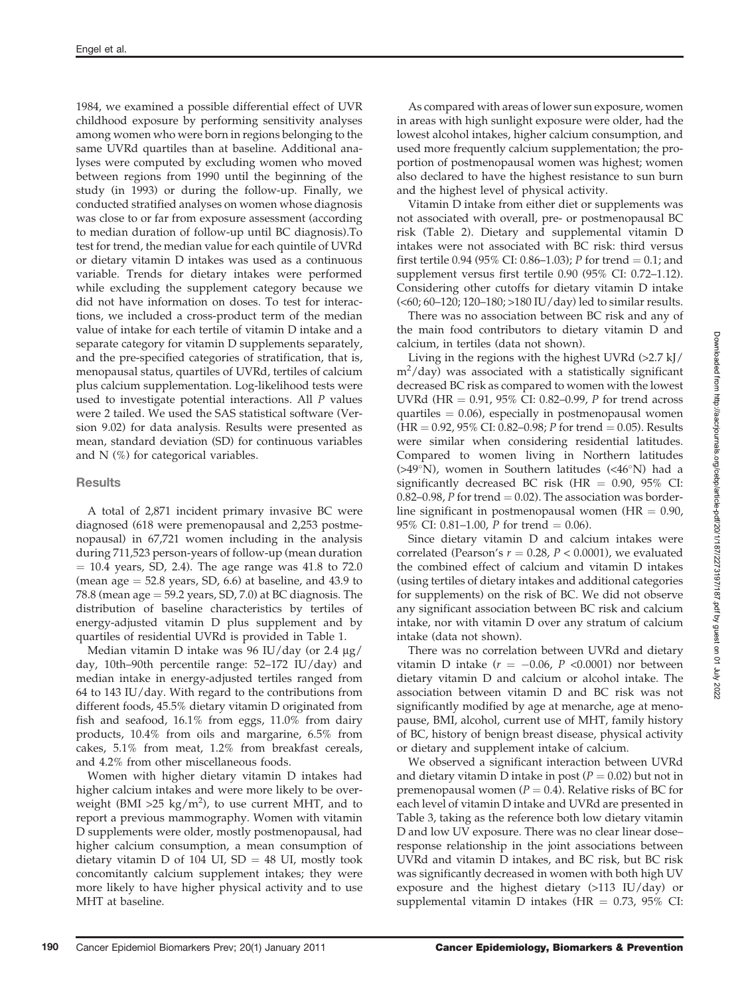1984, we examined a possible differential effect of UVR childhood exposure by performing sensitivity analyses among women who were born in regions belonging to the same UVRd quartiles than at baseline. Additional analyses were computed by excluding women who moved between regions from 1990 until the beginning of the study (in 1993) or during the follow-up. Finally, we conducted stratified analyses on women whose diagnosis was close to or far from exposure assessment (according to median duration of follow-up until BC diagnosis).To test for trend, the median value for each quintile of UVRd or dietary vitamin D intakes was used as a continuous variable. Trends for dietary intakes were performed while excluding the supplement category because we did not have information on doses. To test for interactions, we included a cross-product term of the median value of intake for each tertile of vitamin D intake and a separate category for vitamin D supplements separately, and the pre-specified categories of stratification, that is, menopausal status, quartiles of UVRd, tertiles of calcium plus calcium supplementation. Log-likelihood tests were used to investigate potential interactions. All P values were 2 tailed. We used the SAS statistical software (Version 9.02) for data analysis. Results were presented as mean, standard deviation (SD) for continuous variables and N (%) for categorical variables.

#### **Results**

A total of 2,871 incident primary invasive BC were diagnosed (618 were premenopausal and 2,253 postmenopausal) in 67,721 women including in the analysis during 711,523 person-years of follow-up (mean duration  $= 10.4$  years, SD, 2.4). The age range was 41.8 to 72.0 (mean age  $=$  52.8 years, SD, 6.6) at baseline, and 43.9 to 78.8 (mean age  $=$  59.2 years, SD, 7.0) at BC diagnosis. The distribution of baseline characteristics by tertiles of energy-adjusted vitamin D plus supplement and by quartiles of residential UVRd is provided in Table 1.

Median vitamin D intake was 96 IU/day (or 2.4  $\mu$ g/ day, 10th–90th percentile range: 52–172 IU/day) and median intake in energy-adjusted tertiles ranged from 64 to 143 IU/day. With regard to the contributions from different foods, 45.5% dietary vitamin D originated from fish and seafood, 16.1% from eggs, 11.0% from dairy products, 10.4% from oils and margarine, 6.5% from cakes, 5.1% from meat, 1.2% from breakfast cereals, and 4.2% from other miscellaneous foods.

Women with higher dietary vitamin D intakes had higher calcium intakes and were more likely to be overweight (BMI >25 kg/m<sup>2</sup>), to use current MHT, and to report a previous mammography. Women with vitamin D supplements were older, mostly postmenopausal, had higher calcium consumption, a mean consumption of dietary vitamin D of 104 UI,  $SD = 48$  UI, mostly took concomitantly calcium supplement intakes; they were more likely to have higher physical activity and to use MHT at baseline.

As compared with areas of lower sun exposure, women in areas with high sunlight exposure were older, had the lowest alcohol intakes, higher calcium consumption, and used more frequently calcium supplementation; the proportion of postmenopausal women was highest; women also declared to have the highest resistance to sun burn and the highest level of physical activity.

Vitamin D intake from either diet or supplements was not associated with overall, pre- or postmenopausal BC risk (Table 2). Dietary and supplemental vitamin D intakes were not associated with BC risk: third versus first tertile 0.94 (95% CI: 0.86–1.03); P for trend = 0.1; and supplement versus first tertile 0.90 (95% CI: 0.72–1.12). Considering other cutoffs for dietary vitamin D intake (<60; 60–120; 120–180; >180 IU/day) led to similar results.

There was no association between BC risk and any of the main food contributors to dietary vitamin D and calcium, in tertiles (data not shown).

Living in the regions with the highest UVRd (>2.7 kJ/  $m^2$ /day) was associated with a statistically significant decreased BC risk as compared to women with the lowest UVRd (HR = 0.91, 95% CI: 0.82–0.99, P for trend across quartiles  $= 0.06$ ), especially in postmenopausal women  $(HR = 0.92, 95\% \text{ CI: } 0.82{\text -}0.98; P \text{ for trend } = 0.05)$ . Results were similar when considering residential latitudes. Compared to women living in Northern latitudes (>49°N), women in Southern latitudes (<46°N) had a significantly decreased BC risk (HR  $= 0.90$ , 95% CI: 0.82–0.98, P for trend  $= 0.02$ ). The association was borderline significant in postmenopausal women ( $HR = 0.90$ , 95% CI: 0.81–1.00, *P* for trend = 0.06).

Since dietary vitamin D and calcium intakes were correlated (Pearson's  $r = 0.28$ ,  $P < 0.0001$ ), we evaluated the combined effect of calcium and vitamin D intakes (using tertiles of dietary intakes and additional categories for supplements) on the risk of BC. We did not observe any significant association between BC risk and calcium intake, nor with vitamin D over any stratum of calcium intake (data not shown).

There was no correlation between UVRd and dietary vitamin D intake ( $r = -0.06$ , P <0.0001) nor between dietary vitamin D and calcium or alcohol intake. The association between vitamin D and BC risk was not significantly modified by age at menarche, age at menopause, BMI, alcohol, current use of MHT, family history of BC, history of benign breast disease, physical activity or dietary and supplement intake of calcium.

We observed a significant interaction between UVRd and dietary vitamin D intake in post ( $P = 0.02$ ) but not in premenopausal women ( $P = 0.4$ ). Relative risks of BC for each level of vitamin D intake and UVRd are presented in Table 3, taking as the reference both low dietary vitamin D and low UV exposure. There was no clear linear dose– response relationship in the joint associations between UVRd and vitamin D intakes, and BC risk, but BC risk was significantly decreased in women with both high UV exposure and the highest dietary (>113 IU/day) or supplemental vitamin D intakes (HR  $= 0.73$ , 95% CI: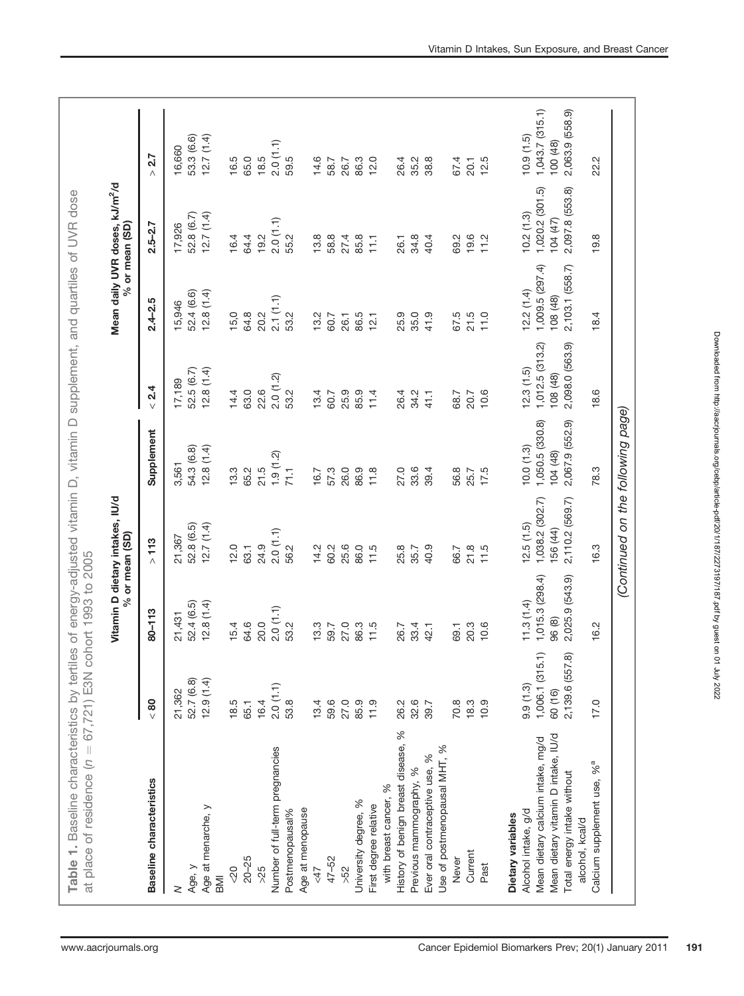|                                                |                 | % or mean (SD)  | Vitamin D dietary intakes, IU/d   |                 |                 |                 | Mean daily UVR doses, kJ/m <sup>2</sup> /d<br>% or mean (SD) |                 |
|------------------------------------------------|-----------------|-----------------|-----------------------------------|-----------------|-----------------|-----------------|--------------------------------------------------------------|-----------------|
| Baseline characteristics                       | < 80            | $80 - 113$      | $>113$                            | Supplement      | 2.4<br>$\vee$   | $2.4 - 2.5$     | $2.5 - 2.7$                                                  | 2.7<br>$\wedge$ |
| 2                                              | 21,362          | 21,431          | 21,367                            | 3,561           | 17,189          | 15,946          | 17,926                                                       | 16,660          |
| Age, y                                         | 52.7 (6.8)      | 52.4 (6.5)      | 52.8 (6.5)                        | 54.3 (6.8)      | 52.5(6.7)       | 52.4 (6.6)      | 52.8 (6.7)                                                   | 53.3 (6.6)      |
| Age at menarche, y<br>BMI                      | 12.9(1.4)       | 12.8(1.4)       | 12.7(1.4)                         | 12.8(1.4)       | 12.8(1.4)       | 12.8(1.4)       | 12.7(1.4)                                                    | 12.7(1.4)       |
| $rac{1}{2}$                                    | 18.5            | 15.4            | 12.0                              | 13.3            | 14.4            | 15,0            | 16.4                                                         | 16.5            |
| $20 - 25$                                      | 65.1            | 64.6            | 63.1                              | 65.2            | 63.0            | 64.8            | 64.4                                                         | 65.0            |
| >25                                            | 16.4            | 20.0            | 24.9                              | 21.5            | 22.6            | 20.2            | 19.2                                                         | 18.5            |
| Number of full-term pregnancies                | 2.0(1.1)        | 2.0(1.1)        | 2.0(1.1)                          | 1.9(1.2)        | 2.0(1.2)        | 2.1(1.1)        | 2.0(1.1)                                                     | 2.0(1.1)        |
| Postmenopausal%                                | 53.8            | 53.2            | 56.2                              | 71.1            | 53.2            | 53.2            | 55.2                                                         | 59.5            |
| Age at menopause                               |                 |                 |                                   |                 |                 |                 |                                                              |                 |
| $\angle 47$                                    | 13.4            | 13.3            | 14.2                              | 16.7            | 13.4            | 13.2            | 13.8                                                         | 14.6            |
| 47-52                                          | 59.6            | 59.7            | 60.2                              | 57.3            | 60.7            | 60.7            | 58.8                                                         | 58.7            |
| >52                                            | 27.0            | 27.0            | 25.6                              | 26.0            | 25.9            | 26.1            | 27.4                                                         | 26.7            |
| University degree, %                           | 85.9            | 86.3            | 86.0                              | 86.9            | 85.9            | 86.5            | 85.8                                                         | 86.3            |
| First degree relative                          | 11.9            | 11.5            | 11.5                              | 11.8            | 11.4            | 12.1            | 111                                                          | 12.0            |
| with breast cancer, %                          |                 |                 |                                   |                 |                 |                 |                                                              |                 |
| History of benign breast disease, %            | 26.2            | 26.7            | 25.8                              | 27.0            | 26.4            | 25.9            | 26.1                                                         | 26.4            |
| Previous mammography, %                        | 32.6            | 33.4            | 35.7                              | 33.6            | 34.2            | 35.0            | 34.8                                                         | 35.2            |
| %<br>Ever oral contraceptive use,              | 39.7            | 42.1            | 40.9                              | 39.4            | 41.1            | 41.9            | 40.4                                                         | 38.8            |
| Use of postmenopausal MHT, %                   |                 |                 |                                   |                 |                 |                 |                                                              |                 |
| Never                                          | 70.8            | 69.1            | 66.7                              | 56.8            | 68.7            | 67.5            | 69.2                                                         | 67.4            |
| Current                                        | 18.3            | 20.3            | 21.8                              | 25.7            | 20.7            | 21.5            | $19.6$<br>$11.2$                                             | 20.1            |
| Past                                           | 10.9            | 10.6            | 11.5                              | 17.5            | 10.6            | 11.0            |                                                              | 12.5            |
| Dietary variables                              |                 |                 |                                   |                 |                 |                 |                                                              |                 |
| Alcohol intake, g/d                            | 9.9(1.3)        | 11.3(1.4)       | 12.5(1.5)                         | 10.0(1.3)       | 12.3(1.5)       | 12.2(1.4)       | 10.2(1.3)                                                    | (10.9(1.5))     |
| Mean dietary calcium intake, mg/d              | 1,006.1(315.1)  | 1,015.3(298.4)  | 1,038.2 (302.7)                   | 1,050.5 (330.8) | 1,012.5(313.2)  | 1,009.5(297.4)  | 1,020.2 (301.5)                                              | 1,043.7(315.1)  |
| Mean dietary vitamin D intake, IU/d            | 60 (16)         | 96 (8)          | 156 (44)                          | 104 (48)        | 108 (48)        | 108 (48)        | 104 (47)                                                     | 100 (48)        |
| Total energy intake without<br>alcohol, kcal/d | 2,139.6 (557.8) | 2,025.9 (543.9) | 2,110.2 (569.7)                   | 2,067.9 (552.9) | 2,098.0 (563.9) | 2,103.1 (558.7) | 2,097.8 (553.8)                                              | 2,063.9 (558.9) |
| Calcium supplement use, % <sup>a</sup>         | 17.0            | 16.2            | 16.3                              | 78.3            | 18.6            | 18.4            | 19.8                                                         | 22.2            |
|                                                |                 |                 | (Continued on the following page) |                 |                 |                 |                                                              |                 |
|                                                |                 |                 |                                   |                 |                 |                 |                                                              |                 |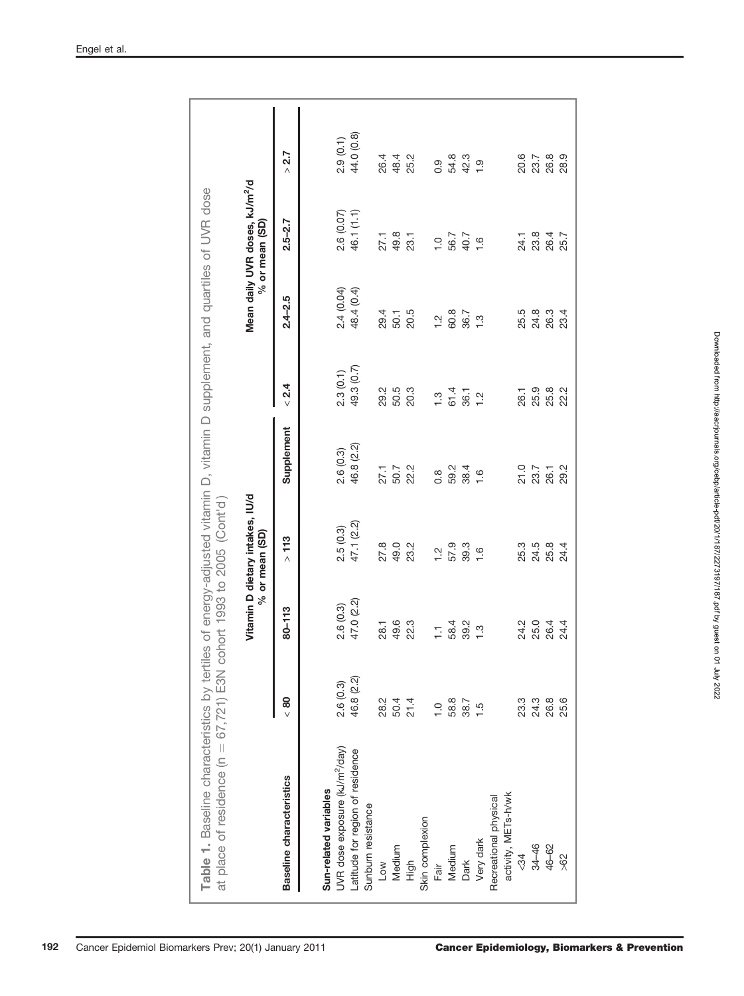| Table 1. Baseline characteristics by tertiles of energy-adjusted vitamin D, vitamin D supplement, and quartiles of UVR dose<br>at place of residence $(n = 67, 721)$ E3N |               |               | cohort 1993 to 2005 (Cont'd)                          |                  |               |               |                                                                  |                 |
|--------------------------------------------------------------------------------------------------------------------------------------------------------------------------|---------------|---------------|-------------------------------------------------------|------------------|---------------|---------------|------------------------------------------------------------------|-----------------|
|                                                                                                                                                                          |               |               | Vitamin D dietary intakes, IU/d<br>$%$ or mean $(SD)$ |                  |               |               | Mean daily UVR doses, kJ/m <sup>2</sup> /d<br>$%$ or mean $(SD)$ |                 |
| Baseline characteristics                                                                                                                                                 | $\frac{8}{5}$ | 80-113        | >113                                                  | Supplement       | < 2.4         | $2.4 - 2.5$   | $2.5 - 2.7$                                                      | 2.7<br>$\wedge$ |
| Sun-related variables                                                                                                                                                    |               |               |                                                       |                  |               |               |                                                                  |                 |
| UVR dose exposure (kJ/m <sup>2</sup> /day)                                                                                                                               | 2.6(0.3)      | 2.6(0.3)      | 2.5(0.3)                                              | 2.6(0.3)         | 2.3(0.1)      | 2.4 (0.04)    | 2.6 (0.07)                                                       | 2.9(0.1)        |
| atitude for region of residence<br>Sunburn resistance                                                                                                                    | 46.8 (2.2)    | 47.0 (2.2)    | 47.1 (2.2)                                            | 46.8 (2.2)       | 49.3 (0.7)    | 48.4 (0.4)    | 46.1 (1.1)                                                       | 44.0 (0.8)      |
| Low                                                                                                                                                                      | 28.2          | 28.1          | 27.8                                                  | 27.1             | 29.2          | 29.4          | 27.1                                                             | 26.4            |
| Medium                                                                                                                                                                   | 50.4          | 49.6          | 49.0                                                  |                  | 50.5          | 50.1          | 49.8                                                             | 48.4            |
| High                                                                                                                                                                     | 21.4          | 22.3          | 23.2                                                  | 50.7<br>22.2     | 20.3          | 20.5          | 23.1                                                             | 25.2            |
| Skin complexion                                                                                                                                                          |               |               |                                                       |                  |               |               |                                                                  |                 |
| Fair                                                                                                                                                                     | $\frac{1}{2}$ | H             | $\frac{1}{2}$                                         | $0.\overline{8}$ | $\ddot{.}3$   | $\frac{1}{2}$ | $\frac{0}{1}$                                                    | 0.9             |
| Medium                                                                                                                                                                   | 58.8          | 58.4          | 57.9                                                  | 59.2             | 61.4          | 60.8          | 56.7                                                             | 54.8            |
| Dark                                                                                                                                                                     | $38.7$<br>1.5 | 39.2          | 39.3                                                  | 38.4             | 36.1          | 36.7          | 40.7                                                             | 42.3            |
| Very dark                                                                                                                                                                |               | $\frac{3}{1}$ | $\frac{6}{1}$                                         | $\frac{6}{1}$    | $\frac{1}{2}$ | $\frac{3}{1}$ | $\frac{6}{1}$                                                    | $\frac{0}{1}$   |
| Recreational physical                                                                                                                                                    |               |               |                                                       |                  |               |               |                                                                  |                 |
| activity, METs-h/wk                                                                                                                                                      |               |               |                                                       |                  |               |               |                                                                  |                 |
| ⊰34                                                                                                                                                                      | 23.3          | 24.2          | 25.3                                                  |                  | 26.1          | 25.5          | 24.1                                                             | 20.6            |
| $34 - 46$                                                                                                                                                                | 24.3          | 25.0          | 24.5                                                  | 21.0<br>23.7     | 25.9          | 24.8          | 23.8                                                             | 23.7            |
| 46-62                                                                                                                                                                    | 26.8          | 26.4          | 25.8                                                  | 26.1             | 25.8          | 26.3          | 26.4                                                             | 26.8            |
| $\frac{8}{2}$                                                                                                                                                            | 25.6          | 24.4          | 24.4                                                  | 29.2             | 22.2          | 23.4          | 25.7                                                             | 28.9            |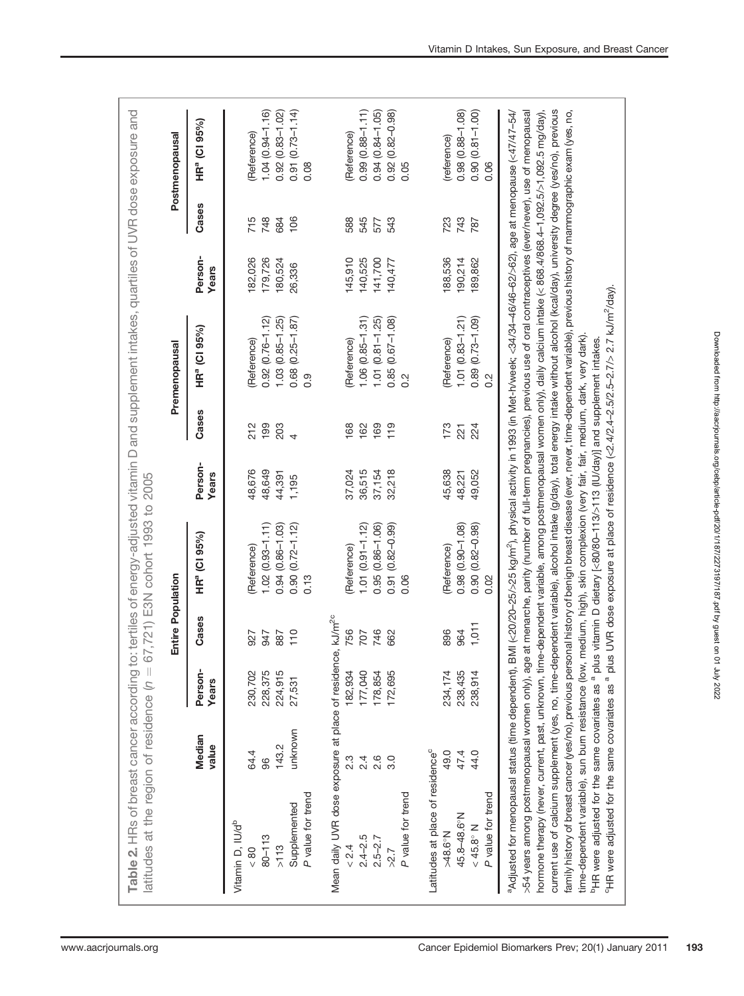| Table 2. HRs of breast cancer according to: tertiles of energy-adjusted vitamin D and supplement intakes, quartiles of UVR dose exposure and<br>latitudes at the region of residence (n                                                                                                                                                                                                                                                                                                                                                                                                                                                                                                                                                                                                                                                                                                                                                                                                                                 |                 | $\mid \mid$      |                   | 67,721) E3N cohort 1993 to 2005                                                                                                                       |                  |                |                                                                                                                                                                                                                                         |                  |       |                             |
|-------------------------------------------------------------------------------------------------------------------------------------------------------------------------------------------------------------------------------------------------------------------------------------------------------------------------------------------------------------------------------------------------------------------------------------------------------------------------------------------------------------------------------------------------------------------------------------------------------------------------------------------------------------------------------------------------------------------------------------------------------------------------------------------------------------------------------------------------------------------------------------------------------------------------------------------------------------------------------------------------------------------------|-----------------|------------------|-------------------|-------------------------------------------------------------------------------------------------------------------------------------------------------|------------------|----------------|-----------------------------------------------------------------------------------------------------------------------------------------------------------------------------------------------------------------------------------------|------------------|-------|-----------------------------|
|                                                                                                                                                                                                                                                                                                                                                                                                                                                                                                                                                                                                                                                                                                                                                                                                                                                                                                                                                                                                                         |                 |                  | Entire Population |                                                                                                                                                       |                  |                | Premenopausal                                                                                                                                                                                                                           |                  |       | Postmenopausal              |
|                                                                                                                                                                                                                                                                                                                                                                                                                                                                                                                                                                                                                                                                                                                                                                                                                                                                                                                                                                                                                         | Median<br>value | Person-<br>Years | Cases             | HR <sup>ª</sup> (CI 95%)                                                                                                                              | Person-<br>Years | Cases          | HR <sup>ª</sup> (CI 95%)                                                                                                                                                                                                                | Person-<br>Years | Cases | HR <sup>ª</sup> (Cl 95%)    |
| Vitamin D, IU/d <sup>b</sup><br>$\frac{80}{5}$                                                                                                                                                                                                                                                                                                                                                                                                                                                                                                                                                                                                                                                                                                                                                                                                                                                                                                                                                                          | 64.4            | 230,702          | 927               | Reference)                                                                                                                                            | 48,676           | 212            | (Reference)                                                                                                                                                                                                                             | 182,026          | 715   | Reference)                  |
| $80 - 113$                                                                                                                                                                                                                                                                                                                                                                                                                                                                                                                                                                                                                                                                                                                                                                                                                                                                                                                                                                                                              | 96              | 228,375          | 947               | $1.02(0.93 - 1.11)$                                                                                                                                   | 48,649           | 199            | $0.92(0.76 - 1.12)$                                                                                                                                                                                                                     | 179,726          | 748   | $1.04(0.94 - 1.16)$         |
| >113                                                                                                                                                                                                                                                                                                                                                                                                                                                                                                                                                                                                                                                                                                                                                                                                                                                                                                                                                                                                                    | 143.2           | 224,915          | 887               | $0.94(0.86 - 1.03)$                                                                                                                                   | 44,391           | 203            | $1.03(0.85 - 1.25)$                                                                                                                                                                                                                     | 180,524          | 684   | $0.92(0.83 - 1.02)$         |
| P value for trend<br>Supplemented                                                                                                                                                                                                                                                                                                                                                                                                                                                                                                                                                                                                                                                                                                                                                                                                                                                                                                                                                                                       | unknown         | 27,531           | 110               | $0.90(0.72 - 1.12)$<br>0.13                                                                                                                           | 1,195            | $\overline{4}$ | $0.68$ $(0.25 - 1.87)$<br>0.9                                                                                                                                                                                                           | 26,336           | 106   | $0.91(0.73 - 1.14)$<br>0.08 |
| Mean daily UVR dose exposure at place of residence,                                                                                                                                                                                                                                                                                                                                                                                                                                                                                                                                                                                                                                                                                                                                                                                                                                                                                                                                                                     |                 |                  | $kJ/m^{2c}$       |                                                                                                                                                       |                  |                |                                                                                                                                                                                                                                         |                  |       |                             |
| < 2.4                                                                                                                                                                                                                                                                                                                                                                                                                                                                                                                                                                                                                                                                                                                                                                                                                                                                                                                                                                                                                   | З.<br>2         | 182,934          | 756               | Reference)                                                                                                                                            | 37,024           | 168            | Reference)                                                                                                                                                                                                                              | 145,910          | 588   | (Reference)                 |
| $2.4 - 2.5$                                                                                                                                                                                                                                                                                                                                                                                                                                                                                                                                                                                                                                                                                                                                                                                                                                                                                                                                                                                                             | 2.4             | 177,040          | 707               | $1.01 (0.91 - 1.12)$                                                                                                                                  | 36,515           | 162            | $1.06(0.85 - 1.31)$                                                                                                                                                                                                                     | 140,525          | 545   | $0.99(0.88 - 1.11)$         |
| $2.5 - 2.7$                                                                                                                                                                                                                                                                                                                                                                                                                                                                                                                                                                                                                                                                                                                                                                                                                                                                                                                                                                                                             | 2.6             | 178,854          | 746               | $0.95(0.86 - 1.06)$                                                                                                                                   | 37,154           | 169            | $1.01(0.81 - 1.25)$                                                                                                                                                                                                                     | 141,700          | 577   | $0.94(0.84 - 1.05)$         |
| $>2.7$                                                                                                                                                                                                                                                                                                                                                                                                                                                                                                                                                                                                                                                                                                                                                                                                                                                                                                                                                                                                                  | 3.0             | 172,695          | 662               | $0.91(0.82 - 0.99)$                                                                                                                                   | 32,218           | 119            | $0.85(0.67 - 1.08)$                                                                                                                                                                                                                     | 140,477          | 543   | $(0.82 - 0.98)$<br>0.92     |
| P value for trend                                                                                                                                                                                                                                                                                                                                                                                                                                                                                                                                                                                                                                                                                                                                                                                                                                                                                                                                                                                                       |                 |                  |                   | 0.06                                                                                                                                                  |                  |                | 0.2                                                                                                                                                                                                                                     |                  |       | 0.05                        |
| Latitudes at place of residence <sup>c</sup>                                                                                                                                                                                                                                                                                                                                                                                                                                                                                                                                                                                                                                                                                                                                                                                                                                                                                                                                                                            |                 |                  |                   |                                                                                                                                                       |                  |                |                                                                                                                                                                                                                                         |                  |       |                             |
| $>48.6^{\circ}$ N                                                                                                                                                                                                                                                                                                                                                                                                                                                                                                                                                                                                                                                                                                                                                                                                                                                                                                                                                                                                       | 49.0            | 234,174          | 896               | (Reference)                                                                                                                                           | 45,638           | 173            | (Reference)                                                                                                                                                                                                                             | 188,536          | 723   | (reference)                 |
| 45.8-48.6°N                                                                                                                                                                                                                                                                                                                                                                                                                                                                                                                                                                                                                                                                                                                                                                                                                                                                                                                                                                                                             | 47.4            | 238,435          | 964               | $0.98(0.90 - 1.08)$                                                                                                                                   | 48,221           | 221            | $1.01(0.83 - 1.21)$                                                                                                                                                                                                                     | 190,214          | 743   | $0.98(0.88 - 1.08)$         |
| $<$ 45.8 $\mathrm{N}$                                                                                                                                                                                                                                                                                                                                                                                                                                                                                                                                                                                                                                                                                                                                                                                                                                                                                                                                                                                                   | 44.0            | 238,914          | 1,011             | $0.90(0.82 - 0.98)$                                                                                                                                   | 49,052           | 224            | $0.89(0.73 - 1.09)$                                                                                                                                                                                                                     | 89,862           | 787   | $0.90(0.81 - 1.00)$         |
| P value for trend                                                                                                                                                                                                                                                                                                                                                                                                                                                                                                                                                                                                                                                                                                                                                                                                                                                                                                                                                                                                       |                 |                  |                   | 0.02                                                                                                                                                  |                  |                | $\frac{2}{3}$                                                                                                                                                                                                                           |                  |       | 0.06                        |
| current use of calcium supplement (yes, no, time-dependent variable), alcohol intake (g/day), total energy intake without alcohol (kcal/day), university degree (yes/no), previous<br>>54 years among postmenopausal women only), age at menarche, parity (number of full-term pregnancies), previous use of oral contraceptives (ever/never), use of menopausal<br>hormone therapy (never, current, past, unknown, time-dependent variable, among postmenopausal women only), daily calcium intake (< 868.4/868.4-1,092.5/>1,092.5 mg/day),<br>family history of breast cancer (yes/no), previous personal history of benign breast disease (ever, never, time-dependent variable), previous history of mammographic exam (yes, no,<br>time-dependent variable), sun bum resistance (low,<br><sup>b</sup> HR were adjusted for the same covariates as <sup>a</sup> plu<br><sup>9</sup> HR were adjusted for the same covariates as <sup>a</sup> plu<br><sup>a</sup> Adjusted for menopausal status (time dependent), I |                 |                  |                   | medium, high), skin complexion (very fair, fair, medium, dark, very dark).<br>us vitamin D dietary [<80/80-113/>113 (IU/day)] and supplement intakes. |                  |                | BMI (<20/20-25/>25 kg/m <sup>2</sup> ), physical activity in 1993 (in Met-h/week; <34/34-46/46-62/>62), age at menopause (<47/47-54/<br>is UVR dose exposure at place of residence (<2.4/2.4-2.5/2.5-2.7/> 2.7 kJ/m <sup>2</sup> /day). |                  |       |                             |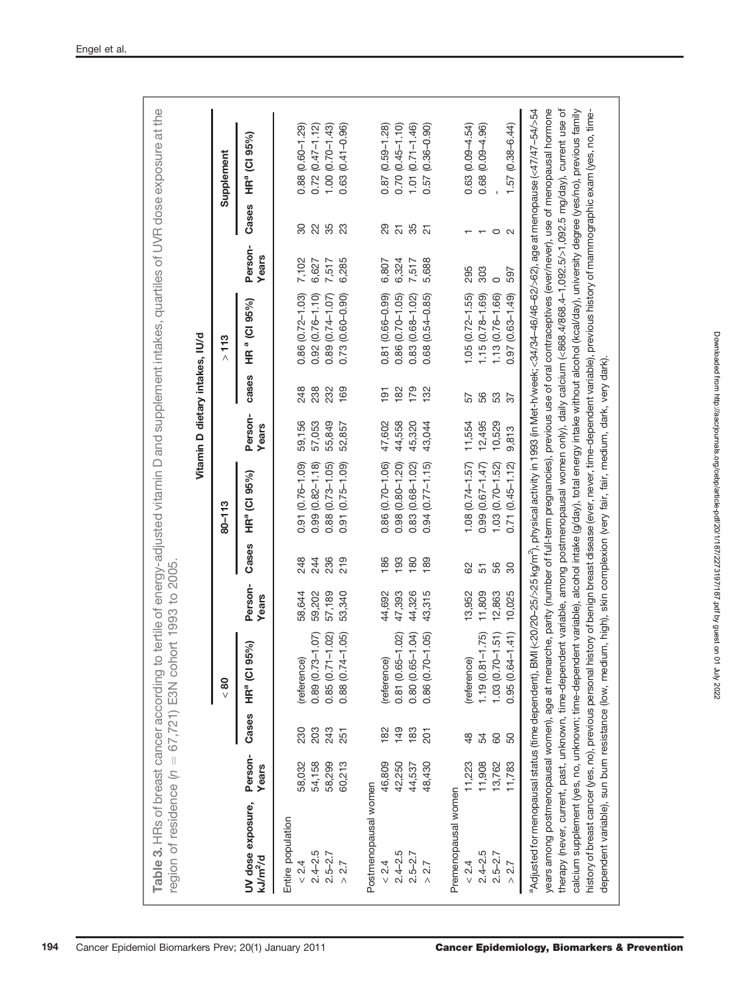|                                           |                                |                                            |                  |            |                                                    | Vitamin D dietary intakes, IU/d |            |                                            |                  |                          |                                            |
|-------------------------------------------|--------------------------------|--------------------------------------------|------------------|------------|----------------------------------------------------|---------------------------------|------------|--------------------------------------------|------------------|--------------------------|--------------------------------------------|
|                                           |                                | 80 <sub>2</sub>                            |                  |            | 80-113                                             |                                 |            | 113<br>$\wedge$                            |                  |                          | Supplement                                 |
| UV dose exposure,<br>kJ/m <sup>2</sup> /d | Person-<br>Years               | 95%)<br>HRª (CI<br>Cases                   | Person-<br>Years | Cases      | HR <sup>a</sup> (CI 95%)                           | Person-<br>Years                | cases      | HR <sup>a</sup> (CI 95%)                   | Person-<br>Years | Cases                    | HR <sup>a</sup> (CI 95%)                   |
| Entire population                         |                                |                                            |                  |            |                                                    |                                 |            |                                            |                  |                          |                                            |
| $2.4 - 2.5$<br>< 2.4                      | 230<br>203<br>54,158<br>58,032 | 0.89 (0.73-1.07)<br>(reference)            | 59,202<br>58,644 | 248<br>244 | $(0.76 - 1.09)$<br>$(0.82 - 1.18)$<br>0.99<br>0.91 | 59,156<br>57,053                | 248<br>238 | $0.86(0.72 - 1.03)$<br>$0.92(0.76 - 1.10)$ | 7,102<br>6,627   | $22\,$<br>30             | $0.72(0.47 - 1.12)$<br>$0.88(0.60 - 1.29)$ |
| $2.5 - 2.7$                               | 243<br>58,299                  | $0.85(0.71 - 1.02)$                        | 57,189           | 236        | $(0.73 - 1.05)$<br>0.88                            | 55,849                          | 232        | $0.89(0.74 - 1.07)$                        | 7,517            | 35                       | $1.00(0.70 - 1.43)$                        |
| > 2.7                                     | 251<br>60,213                  | $0.88$ $(0.74 - 1.05)$                     | 53,340           | 219        | $(0.75 - 1.09)$<br>0.91                            | 52,857                          | 169        | $(0.60 - 0.90)$<br>0.73                    | 6,285            | 23                       | $0.63(0.41 - 0.96)$                        |
| Postmenopausal women                      |                                |                                            |                  |            |                                                    |                                 |            |                                            |                  |                          |                                            |
| < 2.4                                     | 182<br>46,809                  | (reference)                                | 44,692           | 186        | $0.86(0.70 - 1.06)$                                | 47,602                          | 191        | 0.81 (0.66-0.99)                           | 6,807            | 29                       | $0.87(0.59 - 1.28)$                        |
| $2.4 - 2.5$                               | 149<br>42,250                  | 0.81 (0.65-1.02)                           | 47,393           | 193        | $(0.80 - 1.20)$<br>0.98                            | 44,558                          | 182        | $0.86$ $(0.70 - 1.05)$                     | 6,324            | $\overline{c}$           | $0.70(0.45 - 1.10)$                        |
| $2.5 - 2.7$                               | 183<br>44,537                  | 0.80 (0.65-1.04)<br>0.86 (0.70-1.05)       | 44,326           | 180        | $(0.68 - 1.02)$<br>0.83                            | 45,320                          | 179        | $(0.68 - 1.02)$<br>0.83                    | 7,517            | 35                       | $1.01 (0.71 - 1.46)$                       |
| $>2.7$                                    | 201<br>48,430                  |                                            | 43,315           | 189        | $(0.77 - 1.15)$<br>0.94                            | 43,044                          | 132        | $(0.54 - 0.85)$<br>0.68                    | 5,688            | $\overline{\mathcal{S}}$ | $(0.36 - 0.90)$<br>0.57                    |
| Premenopausal women                       |                                |                                            |                  |            |                                                    |                                 |            |                                            |                  |                          |                                            |
| $\frac{24}{ }$                            | 48<br>11,223                   | (reference)                                | 13,952           | 82         | $1.08$ $(0.74 - 1.57)$                             | 11,554                          | 57         | $1.05(0.72 - 1.55)$                        | 295              |                          | $0.63(0.09 - 4.54)$                        |
| $2.4 - 2.5$                               | 54<br>11,908                   |                                            | 11,809           | 51         | $(0.67 - 1.47)$<br>0.99                            | 12,495                          | 56         | $1.15(0.78 - 1.69)$                        | 303              |                          | $0.68(0.09 - 4.96)$                        |
| $2.5 - 2.7$                               | 80<br>13,762                   | $1.19(0.81 - 1.75)$<br>$1.03(0.70 - 1.51)$ | 12,863           | 56         | $(0.70 - 1.52)$<br>1.03                            | 10,529                          | 53         | 1.13 (0.76-1.66)                           |                  | $\circ$ $\circ$          |                                            |
| $>2.7$                                    | 50<br>11,783                   | $0.95(0.64 - 1.41)$                        | 10,025           | 30         | $(0.45 - 1.12)$<br>0.71                            | 9,813                           | 57         | $(0.63 - 1.49)$<br>0.97                    | 597              |                          | $1.57(0.38 - 6.44)$                        |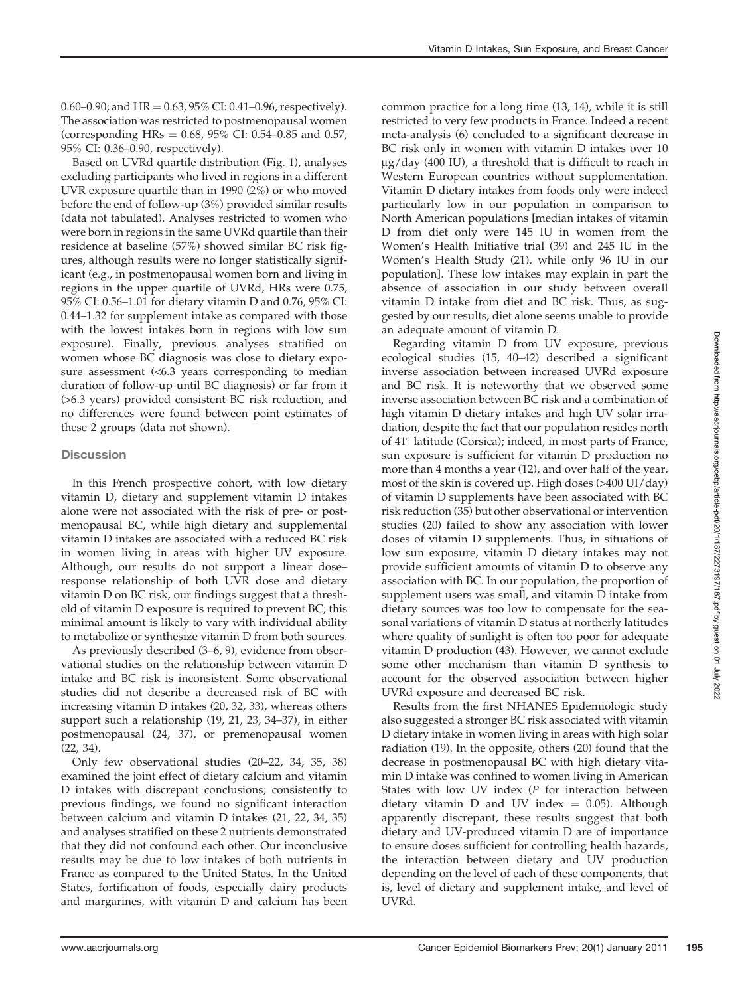0.60–0.90; and  $HR = 0.63$ , 95% CI: 0.41–0.96, respectively). The association was restricted to postmenopausal women (corresponding HRs =  $0.68$ ,  $95\%$  CI:  $0.54-0.85$  and  $0.57$ , 95% CI: 0.36–0.90, respectively).

Based on UVRd quartile distribution (Fig. 1), analyses excluding participants who lived in regions in a different UVR exposure quartile than in 1990 (2%) or who moved before the end of follow-up (3%) provided similar results (data not tabulated). Analyses restricted to women who were born in regions in the same UVRd quartile than their residence at baseline (57%) showed similar BC risk figures, although results were no longer statistically significant (e.g., in postmenopausal women born and living in regions in the upper quartile of UVRd, HRs were 0.75, 95% CI: 0.56–1.01 for dietary vitamin D and 0.76, 95% CI: 0.44–1.32 for supplement intake as compared with those with the lowest intakes born in regions with low sun exposure). Finally, previous analyses stratified on women whose BC diagnosis was close to dietary exposure assessment (<6.3 years corresponding to median duration of follow-up until BC diagnosis) or far from it (>6.3 years) provided consistent BC risk reduction, and no differences were found between point estimates of these 2 groups (data not shown).

#### **Discussion**

In this French prospective cohort, with low dietary vitamin D, dietary and supplement vitamin D intakes alone were not associated with the risk of pre- or postmenopausal BC, while high dietary and supplemental vitamin D intakes are associated with a reduced BC risk in women living in areas with higher UV exposure. Although, our results do not support a linear dose– response relationship of both UVR dose and dietary vitamin D on BC risk, our findings suggest that a threshold of vitamin D exposure is required to prevent BC; this minimal amount is likely to vary with individual ability to metabolize or synthesize vitamin D from both sources.

As previously described (3–6, 9), evidence from observational studies on the relationship between vitamin D intake and BC risk is inconsistent. Some observational studies did not describe a decreased risk of BC with increasing vitamin D intakes (20, 32, 33), whereas others support such a relationship (19, 21, 23, 34–37), in either postmenopausal (24, 37), or premenopausal women (22, 34).

Only few observational studies (20–22, 34, 35, 38) examined the joint effect of dietary calcium and vitamin D intakes with discrepant conclusions; consistently to previous findings, we found no significant interaction between calcium and vitamin D intakes (21, 22, 34, 35) and analyses stratified on these 2 nutrients demonstrated that they did not confound each other. Our inconclusive results may be due to low intakes of both nutrients in France as compared to the United States. In the United States, fortification of foods, especially dairy products and margarines, with vitamin D and calcium has been

common practice for a long time (13, 14), while it is still restricted to very few products in France. Indeed a recent meta-analysis (6) concluded to a significant decrease in BC risk only in women with vitamin D intakes over 10  $\mu$ g/day (400 IU), a threshold that is difficult to reach in Western European countries without supplementation. Vitamin D dietary intakes from foods only were indeed particularly low in our population in comparison to North American populations [median intakes of vitamin D from diet only were 145 IU in women from the Women's Health Initiative trial (39) and 245 IU in the Women's Health Study (21), while only 96 IU in our population]. These low intakes may explain in part the absence of association in our study between overall vitamin D intake from diet and BC risk. Thus, as suggested by our results, diet alone seems unable to provide an adequate amount of vitamin D.

Regarding vitamin D from UV exposure, previous ecological studies (15, 40–42) described a significant inverse association between increased UVRd exposure and BC risk. It is noteworthy that we observed some inverse association between BC risk and a combination of high vitamin D dietary intakes and high UV solar irradiation, despite the fact that our population resides north of 41° latitude (Corsica); indeed, in most parts of France, sun exposure is sufficient for vitamin D production no more than 4 months a year (12), and over half of the year, most of the skin is covered up. High doses (>400 UI/day) of vitamin D supplements have been associated with BC risk reduction (35) but other observational or intervention studies (20) failed to show any association with lower doses of vitamin D supplements. Thus, in situations of low sun exposure, vitamin D dietary intakes may not provide sufficient amounts of vitamin D to observe any association with BC. In our population, the proportion of supplement users was small, and vitamin D intake from dietary sources was too low to compensate for the seasonal variations of vitamin D status at northerly latitudes where quality of sunlight is often too poor for adequate vitamin D production (43). However, we cannot exclude some other mechanism than vitamin D synthesis to account for the observed association between higher UVRd exposure and decreased BC risk.

Results from the first NHANES Epidemiologic study also suggested a stronger BC risk associated with vitamin D dietary intake in women living in areas with high solar radiation (19). In the opposite, others (20) found that the decrease in postmenopausal BC with high dietary vitamin D intake was confined to women living in American States with low UV index (P for interaction between dietary vitamin D and UV index  $=$  0.05). Although apparently discrepant, these results suggest that both dietary and UV-produced vitamin D are of importance to ensure doses sufficient for controlling health hazards, the interaction between dietary and UV production depending on the level of each of these components, that is, level of dietary and supplement intake, and level of UVRd.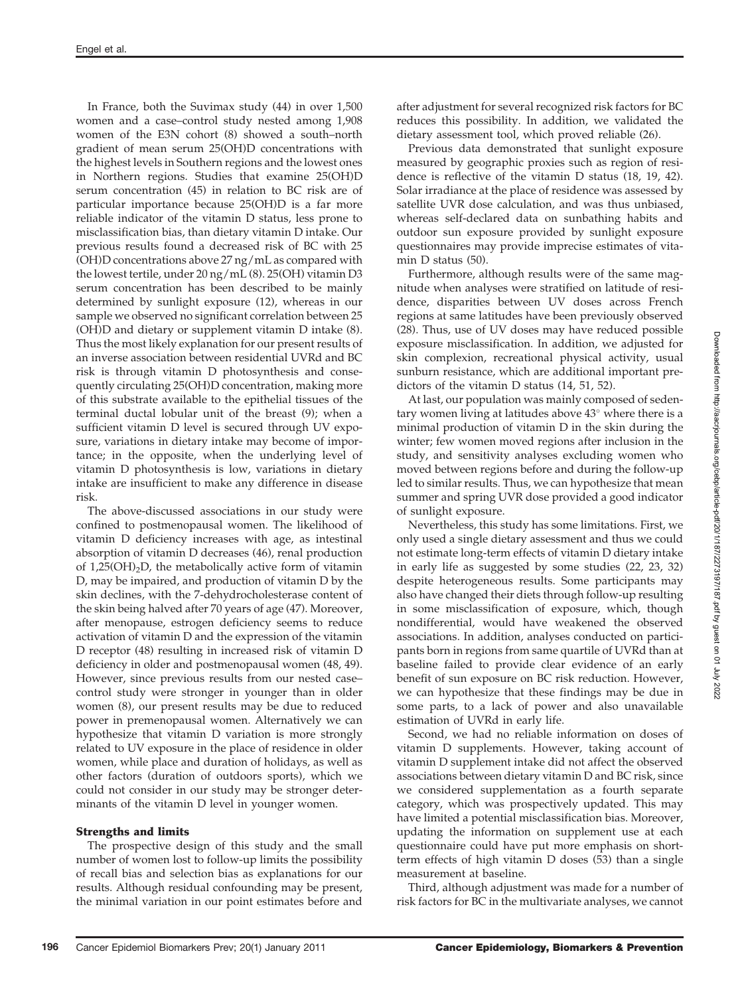In France, both the Suvimax study (44) in over 1,500 women and a case–control study nested among 1,908 women of the E3N cohort (8) showed a south–north gradient of mean serum 25(OH)D concentrations with the highest levels in Southern regions and the lowest ones in Northern regions. Studies that examine 25(OH)D serum concentration (45) in relation to BC risk are of particular importance because 25(OH)D is a far more reliable indicator of the vitamin D status, less prone to misclassification bias, than dietary vitamin D intake. Our previous results found a decreased risk of BC with 25 (OH)D concentrations above 27 ng/mL as compared with the lowest tertile, under 20 ng/mL (8). 25(OH) vitamin D3 serum concentration has been described to be mainly determined by sunlight exposure (12), whereas in our sample we observed no significant correlation between 25 (OH)D and dietary or supplement vitamin D intake (8). Thus the most likely explanation for our present results of an inverse association between residential UVRd and BC risk is through vitamin D photosynthesis and consequently circulating 25(OH)D concentration, making more of this substrate available to the epithelial tissues of the terminal ductal lobular unit of the breast (9); when a sufficient vitamin D level is secured through UV exposure, variations in dietary intake may become of importance; in the opposite, when the underlying level of vitamin D photosynthesis is low, variations in dietary intake are insufficient to make any difference in disease risk.

The above-discussed associations in our study were confined to postmenopausal women. The likelihood of vitamin D deficiency increases with age, as intestinal absorption of vitamin D decreases (46), renal production of  $1,25(OH)_2D$ , the metabolically active form of vitamin D, may be impaired, and production of vitamin D by the skin declines, with the 7-dehydrocholesterase content of the skin being halved after 70 years of age (47). Moreover, after menopause, estrogen deficiency seems to reduce activation of vitamin D and the expression of the vitamin D receptor (48) resulting in increased risk of vitamin D deficiency in older and postmenopausal women (48, 49). However, since previous results from our nested case– control study were stronger in younger than in older women (8), our present results may be due to reduced power in premenopausal women. Alternatively we can hypothesize that vitamin D variation is more strongly related to UV exposure in the place of residence in older women, while place and duration of holidays, as well as other factors (duration of outdoors sports), which we could not consider in our study may be stronger determinants of the vitamin D level in younger women.

#### Strengths and limits

The prospective design of this study and the small number of women lost to follow-up limits the possibility of recall bias and selection bias as explanations for our results. Although residual confounding may be present, the minimal variation in our point estimates before and

after adjustment for several recognized risk factors for BC reduces this possibility. In addition, we validated the dietary assessment tool, which proved reliable (26).

Previous data demonstrated that sunlight exposure measured by geographic proxies such as region of residence is reflective of the vitamin D status (18, 19, 42). Solar irradiance at the place of residence was assessed by satellite UVR dose calculation, and was thus unbiased, whereas self-declared data on sunbathing habits and outdoor sun exposure provided by sunlight exposure questionnaires may provide imprecise estimates of vitamin D status (50).

Furthermore, although results were of the same magnitude when analyses were stratified on latitude of residence, disparities between UV doses across French regions at same latitudes have been previously observed (28). Thus, use of UV doses may have reduced possible exposure misclassification. In addition, we adjusted for skin complexion, recreational physical activity, usual sunburn resistance, which are additional important predictors of the vitamin D status (14, 51, 52).

At last, our population was mainly composed of sedentary women living at latitudes above 43° where there is a minimal production of vitamin D in the skin during the winter; few women moved regions after inclusion in the study, and sensitivity analyses excluding women who moved between regions before and during the follow-up led to similar results. Thus, we can hypothesize that mean summer and spring UVR dose provided a good indicator of sunlight exposure.

Nevertheless, this study has some limitations. First, we only used a single dietary assessment and thus we could not estimate long-term effects of vitamin D dietary intake in early life as suggested by some studies (22, 23, 32) despite heterogeneous results. Some participants may also have changed their diets through follow-up resulting in some misclassification of exposure, which, though nondifferential, would have weakened the observed associations. In addition, analyses conducted on participants born in regions from same quartile of UVRd than at baseline failed to provide clear evidence of an early benefit of sun exposure on BC risk reduction. However, we can hypothesize that these findings may be due in some parts, to a lack of power and also unavailable estimation of UVRd in early life.

Second, we had no reliable information on doses of vitamin D supplements. However, taking account of vitamin D supplement intake did not affect the observed associations between dietary vitamin D and BC risk, since we considered supplementation as a fourth separate category, which was prospectively updated. This may have limited a potential misclassification bias. Moreover, updating the information on supplement use at each questionnaire could have put more emphasis on shortterm effects of high vitamin D doses (53) than a single measurement at baseline.

Third, although adjustment was made for a number of risk factors for BC in the multivariate analyses, we cannot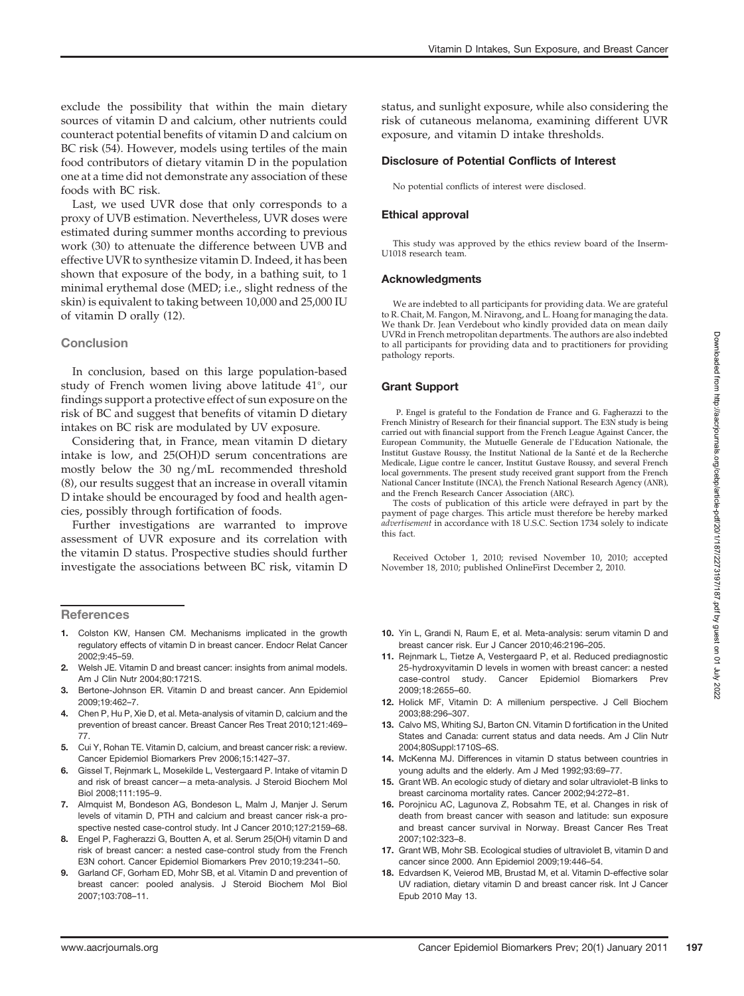exclude the possibility that within the main dietary sources of vitamin D and calcium, other nutrients could counteract potential benefits of vitamin D and calcium on BC risk (54). However, models using tertiles of the main food contributors of dietary vitamin D in the population one at a time did not demonstrate any association of these foods with BC risk.

Last, we used UVR dose that only corresponds to a proxy of UVB estimation. Nevertheless, UVR doses were estimated during summer months according to previous work (30) to attenuate the difference between UVB and effective UVR to synthesize vitamin D. Indeed, it has been shown that exposure of the body, in a bathing suit, to 1 minimal erythemal dose (MED; i.e., slight redness of the skin) is equivalent to taking between 10,000 and 25,000 IU of vitamin D orally (12).

### **Conclusion**

In conclusion, based on this large population-based study of French women living above latitude 41°, our findings support a protective effect of sun exposure on the risk of BC and suggest that benefits of vitamin D dietary intakes on BC risk are modulated by UV exposure.

Considering that, in France, mean vitamin D dietary intake is low, and 25(OH)D serum concentrations are mostly below the 30 ng/mL recommended threshold (8), our results suggest that an increase in overall vitamin D intake should be encouraged by food and health agencies, possibly through fortification of foods.

Further investigations are warranted to improve assessment of UVR exposure and its correlation with the vitamin D status. Prospective studies should further investigate the associations between BC risk, vitamin D

#### **References**

- 1. Colston KW, Hansen CM. Mechanisms implicated in the growth regulatory effects of vitamin D in breast cancer. Endocr Relat Cancer 2002;9:45–59.
- 2. Welsh JE. Vitamin D and breast cancer: insights from animal models. Am J Clin Nutr 2004;80:1721S.
- 3. Bertone-Johnson ER. Vitamin D and breast cancer. Ann Epidemiol 2009;19:462–7.
- 4. Chen P, Hu P, Xie D, et al. Meta-analysis of vitamin D, calcium and the prevention of breast cancer. Breast Cancer Res Treat 2010;121:469– 77.
- 5. Cui Y, Rohan TE. Vitamin D, calcium, and breast cancer risk: a review. Cancer Epidemiol Biomarkers Prev 2006;15:1427–37.
- 6. Gissel T, Rejnmark L, Mosekilde L, Vestergaard P. Intake of vitamin D and risk of breast cancer—a meta-analysis. J Steroid Biochem Mol Biol 2008;111:195–9.
- 7. Almquist M, Bondeson AG, Bondeson L, Malm J, Manjer J. Serum levels of vitamin D, PTH and calcium and breast cancer risk-a prospective nested case-control study. Int J Cancer 2010;127:2159–68.
- 8. Engel P, Fagherazzi G, Boutten A, et al. Serum 25(OH) vitamin D and risk of breast cancer: a nested case-control study from the French E3N cohort. Cancer Epidemiol Biomarkers Prev 2010;19:2341–50.
- Garland CF, Gorham ED, Mohr SB, et al. Vitamin D and prevention of breast cancer: pooled analysis. J Steroid Biochem Mol Biol 2007;103:708–11.

status, and sunlight exposure, while also considering the risk of cutaneous melanoma, examining different UVR exposure, and vitamin D intake thresholds.

## Disclosure of Potential Conflicts of Interest

No potential conflicts of interest were disclosed.

#### Ethical approval

This study was approved by the ethics review board of the Inserm-U1018 research team.

#### Acknowledgments

We are indebted to all participants for providing data. We are grateful to R. Chait, M. Fangon, M. Niravong, and L. Hoang for managing the data. We thank Dr. Jean Verdebout who kindly provided data on mean daily UVRd in French metropolitan departments. The authors are also indebted to all participants for providing data and to practitioners for providing pathology reports.

#### Grant Support

P. Engel is grateful to the Fondation de France and G. Fagherazzi to the French Ministry of Research for their financial support. The E3N study is being carried out with financial support from the French League Against Cancer, the European Community, the Mutuelle Generale de l'Education Nationale, the Institut Gustave Roussy, the Institut National de la Sante et de la Recherche Medicale, Ligue contre le cancer, Institut Gustave Roussy, and several French local governments. The present study received grant support from the French National Cancer Institute (INCA), the French National Research Agency (ANR), and the French Research Cancer Association (ARC).

The costs of publication of this article were defrayed in part by the payment of page charges. This article must therefore be hereby marked advertisement in accordance with 18 U.S.C. Section 1734 solely to indicate this fact.

Received October 1, 2010; revised November 10, 2010; accepted November 18, 2010; published OnlineFirst December 2, 2010.

- 10. Yin L, Grandi N, Raum E, et al. Meta-analysis: serum vitamin D and breast cancer risk. Eur J Cancer 2010;46:2196–205.
- 11. Rejnmark L, Tietze A, Vestergaard P, et al. Reduced prediagnostic 25-hydroxyvitamin D levels in women with breast cancer: a nested case-control study. Cancer Epidemiol Biomarkers Prev 2009;18:2655–60.
- 12. Holick MF, Vitamin D: A millenium perspective. J Cell Biochem 2003;88:296–307.
- 13. Calvo MS, Whiting SJ, Barton CN. Vitamin D fortification in the United States and Canada: current status and data needs. Am J Clin Nutr 2004;80Suppl:1710S–6S.
- 14. McKenna MJ. Differences in vitamin D status between countries in young adults and the elderly. Am J Med 1992;93:69–77.
- 15. Grant WB. An ecologic study of dietary and solar ultraviolet-B links to breast carcinoma mortality rates. Cancer 2002;94:272–81.
- 16. Porojnicu AC, Lagunova Z, Robsahm TE, et al. Changes in risk of death from breast cancer with season and latitude: sun exposure and breast cancer survival in Norway. Breast Cancer Res Treat 2007;102:323–8.
- 17. Grant WB, Mohr SB. Ecological studies of ultraviolet B, vitamin D and cancer since 2000. Ann Epidemiol 2009;19:446–54.
- 18. Edvardsen K, Veierod MB, Brustad M, et al. Vitamin D-effective solar UV radiation, dietary vitamin D and breast cancer risk. Int J Cancer Epub 2010 May 13.